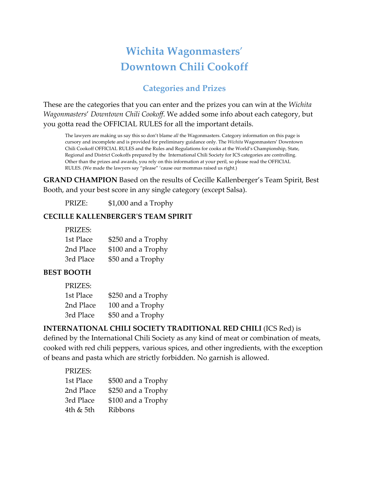# **Wichita Wagonmasters**' **Downtown Chili Cookoff**

## **Categories and Prizes**

These are the categories that you can enter and the prizes you can win at the *Wichita Wagonmasters*' *Downtown Chili Cookoff*. We added some info about each category, but you gotta read the OFFICIAL RULES for all the important details.

The lawyers are making us say this so don't blame *all* the Wagonmasters. Category information on this page is cursory and incomplete and is provided for preliminary guidance only. The *Wichita* Wagonmasters' Downtown Chili Cookoff OFFICIAL RULES and the Rules and Regulations for cooks at the World's Championship, State, Regional and District Cookoffs prepared by the International Chili Society for ICS categories are controlling. Other than the prizes and awards, you rely on this information at your peril, so please read the OFFICIAL RULES. (We made the lawyers say "please" 'cause our mommas raised us right.)

**GRAND CHAMPION** Based on the results of Cecille Kallenberger's Team Spirit, Best Booth, and your best score in any single category (except Salsa).

PRIZE: \$1,000 and a Trophy

#### **CECILLE KALLENBERGERʹS TEAM SPIRIT**

| PRIZES:   |                    |
|-----------|--------------------|
| 1st Place | \$250 and a Trophy |
| 2nd Place | \$100 and a Trophy |
| 3rd Place | \$50 and a Trophy  |

#### **BEST BOOTH**

#### PRIZES:

| 1st Place | \$250 and a Trophy |
|-----------|--------------------|
| 2nd Place | 100 and a Trophy   |
| 3rd Place | \$50 and a Trophy  |

#### **INTERNATIONAL CHILI SOCIETY TRADITIONAL RED CHILI** (ICS Red) is defined by the International Chili Society as any kind of meat or combination of meats, cooked with red chili peppers, various spices, and other ingredients, with the exception

of beans and pasta which are strictly forbidden. No garnish is allowed.

| PRIZES:   |                    |
|-----------|--------------------|
| 1st Place | \$500 and a Trophy |
| 2nd Place | \$250 and a Trophy |
| 3rd Place | \$100 and a Trophy |
| 4th & 5th | <b>Ribbons</b>     |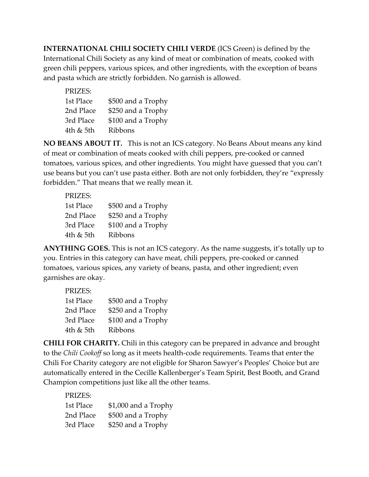**INTERNATIONAL CHILI SOCIETY CHILI VERDE** (ICS Green) is defined by the International Chili Society as any kind of meat or combination of meats, cooked with green chili peppers, various spices, and other ingredients, with the exception of beans and pasta which are strictly forbidden. No garnish is allowed.

| PRIZES:   |                    |
|-----------|--------------------|
| 1st Place | \$500 and a Trophy |
| 2nd Place | \$250 and a Trophy |
| 3rd Place | \$100 and a Trophy |
| 4th & 5th | Ribbons            |

**NO BEANS ABOUT IT.** This is not an ICS category. No Beans About means any kind of meat or combination of meats cooked with chili peppers, pre‐cooked or canned tomatoes, various spices, and other ingredients. You might have guessed that you can't use beans but you can't use pasta either. Both are not only forbidden, they're "expressly forbidden." That means that we really mean it.

| PRIZES:   |                    |
|-----------|--------------------|
| 1st Place | \$500 and a Trophy |
| 2nd Place | \$250 and a Trophy |
| 3rd Place | \$100 and a Trophy |
| 4th & 5th | Ribbons            |

**ANYTHING GOES.** This is not an ICS category. As the name suggests, it's totally up to you. Entries in this category can have meat, chili peppers, pre‐cooked or canned tomatoes, various spices, any variety of beans, pasta, and other ingredient; even garnishes are okay.

| PRIZES:   |                    |
|-----------|--------------------|
| 1st Place | \$500 and a Trophy |
| 2nd Place | \$250 and a Trophy |
| 3rd Place | \$100 and a Trophy |
| 4th & 5th | <b>Ribbons</b>     |

**CHILI FOR CHARITY.** Chili in this category can be prepared in advance and brought to the *Chili Cookoff* so long as it meets health‐code requirements. Teams that enter the Chili For Charity category are not eligible for Sharon Sawyer's Peoples' Choice but are automatically entered in the Cecille Kallenberger's Team Spirit, Best Booth, and Grand Champion competitions just like all the other teams.

| PRIZES:   |                      |
|-----------|----------------------|
| 1st Place | \$1,000 and a Trophy |
| 2nd Place | \$500 and a Trophy   |
| 3rd Place | \$250 and a Trophy   |